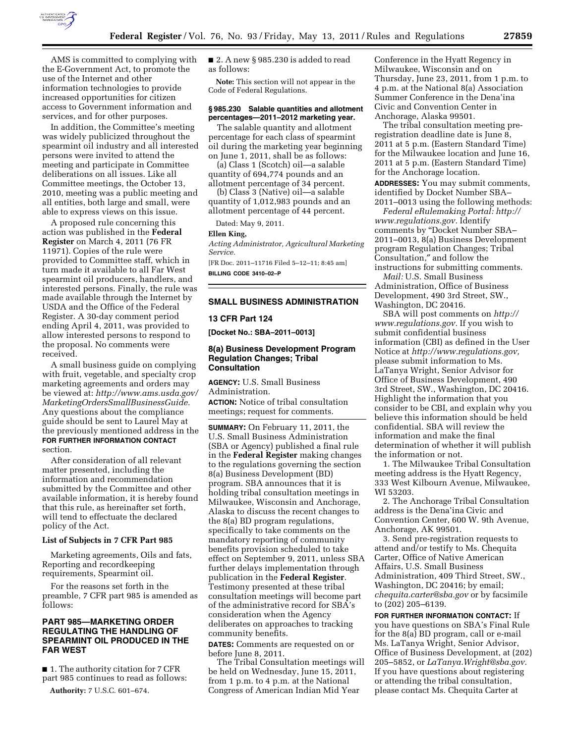

AMS is committed to complying with the E-Government Act, to promote the use of the Internet and other information technologies to provide increased opportunities for citizen access to Government information and services, and for other purposes.

In addition, the Committee's meeting was widely publicized throughout the spearmint oil industry and all interested persons were invited to attend the meeting and participate in Committee deliberations on all issues. Like all Committee meetings, the October 13, 2010, meeting was a public meeting and all entities, both large and small, were able to express views on this issue.

A proposed rule concerning this action was published in the **Federal Register** on March 4, 2011 (76 FR 11971). Copies of the rule were provided to Committee staff, which in turn made it available to all Far West spearmint oil producers, handlers, and interested persons. Finally, the rule was made available through the Internet by USDA and the Office of the Federal Register. A 30-day comment period ending April 4, 2011, was provided to allow interested persons to respond to the proposal. No comments were received.

A small business guide on complying with fruit, vegetable, and specialty crop marketing agreements and orders may be viewed at: *[http://www.ams.usda.gov/](http://www.ams.usda.gov/MarketingOrdersSmallBusinessGuide) [MarketingOrdersSmallBusinessGuide.](http://www.ams.usda.gov/MarketingOrdersSmallBusinessGuide)*  Any questions about the compliance guide should be sent to Laurel May at the previously mentioned address in the **FOR FURTHER INFORMATION CONTACT** section.

After consideration of all relevant matter presented, including the information and recommendation submitted by the Committee and other available information, it is hereby found that this rule, as hereinafter set forth, will tend to effectuate the declared policy of the Act.

# **List of Subjects in 7 CFR Part 985**

Marketing agreements, Oils and fats, Reporting and recordkeeping requirements, Spearmint oil.

For the reasons set forth in the preamble, 7 CFR part 985 is amended as follows:

# **PART 985—MARKETING ORDER REGULATING THE HANDLING OF SPEARMINT OIL PRODUCED IN THE FAR WEST**

■ 1. The authority citation for 7 CFR part 985 continues to read as follows: **Authority:** 7 U.S.C. 601–674.

■ 2. A new § 985.230 is added to read as follows:

**Note:** This section will not appear in the Code of Federal Regulations.

### **§ 985.230 Salable quantities and allotment percentages—2011–2012 marketing year.**

The salable quantity and allotment percentage for each class of spearmint oil during the marketing year beginning on June 1, 2011, shall be as follows:

(a) Class 1 (Scotch) oil—a salable quantity of 694,774 pounds and an allotment percentage of 34 percent.

(b) Class 3 (Native) oil—a salable quantity of 1,012,983 pounds and an allotment percentage of 44 percent.

Dated: May 9, 2011.

#### **Ellen King,**

*Acting Administrator, Agricultural Marketing Service.* 

[FR Doc. 2011–11716 Filed 5–12–11; 8:45 am] **BILLING CODE 3410–02–P** 

### **SMALL BUSINESS ADMINISTRATION**

### **13 CFR Part 124**

**[Docket No.: SBA–2011–0013]** 

## **8(a) Business Development Program Regulation Changes; Tribal Consultation**

**AGENCY:** U.S. Small Business Administration. **ACTION:** Notice of tribal consultation meetings; request for comments.

**SUMMARY:** On February 11, 2011, the U.S. Small Business Administration (SBA or Agency) published a final rule in the **Federal Register** making changes to the regulations governing the section 8(a) Business Development (BD) program. SBA announces that it is holding tribal consultation meetings in Milwaukee, Wisconsin and Anchorage, Alaska to discuss the recent changes to the 8(a) BD program regulations, specifically to take comments on the mandatory reporting of community benefits provision scheduled to take effect on September 9, 2011, unless SBA further delays implementation through publication in the **Federal Register**. Testimony presented at these tribal consultation meetings will become part of the administrative record for SBA's consideration when the Agency deliberates on approaches to tracking community benefits.

**DATES:** Comments are requested on or before June 8, 2011.

The Tribal Consultation meetings will be held on Wednesday, June 15, 2011, from 1 p.m. to 4 p.m. at the National Congress of American Indian Mid Year

Conference in the Hyatt Regency in Milwaukee, Wisconsin and on Thursday, June 23, 2011, from 1 p.m. to 4 p.m. at the National 8(a) Association Summer Conference in the Dena'ina Civic and Convention Center in Anchorage, Alaska 99501.

The tribal consultation meeting preregistration deadline date is June 8, 2011 at 5 p.m. (Eastern Standard Time) for the Milwaukee location and June 16, 2011 at 5 p.m. (Eastern Standard Time) for the Anchorage location.

**ADDRESSES:** You may submit comments, identified by Docket Number SBA– 2011–0013 using the following methods:

*Federal eRulemaking Portal: [http://](http://www.regulations.gov)  [www.regulations.gov.](http://www.regulations.gov)* Identify comments by ''Docket Number SBA– 2011–0013, 8(a) Business Development program Regulation Changes; Tribal Consultation,″ and follow the instructions for submitting comments.

*Mail:* U.S. Small Business Administration, Office of Business Development, 490 3rd Street, SW., Washington, DC 20416.

SBA will post comments on *[http://](http://www.regulations.gov) [www.regulations.gov.](http://www.regulations.gov)* If you wish to submit confidential business information (CBI) as defined in the User Notice at *[http://www.regulations.gov,](http://www.regulations.gov)*  please submit information to Ms. LaTanya Wright, Senior Advisor for Office of Business Development, 490 3rd Street, SW., Washington, DC 20416. Highlight the information that you consider to be CBI, and explain why you believe this information should be held confidential. SBA will review the information and make the final determination of whether it will publish the information or not.

1. The Milwaukee Tribal Consultation meeting address is the Hyatt Regency, 333 West Kilbourn Avenue, Milwaukee, WI 53203.

2. The Anchorage Tribal Consultation address is the Dena'ina Civic and Convention Center, 600 W. 9th Avenue, Anchorage, AK 99501.

3. Send pre-registration requests to attend and/or testify to Ms. Chequita Carter, Office of Native American Affairs, U.S. Small Business Administration, 409 Third Street, SW., Washington, DC 20416; by email; *[chequita.carter@sba.gov](mailto:chequita.carter@sba.gov)* or by facsimile to (202) 205–6139.

**FOR FURTHER INFORMATION CONTACT:** If you have questions on SBA's Final Rule for the 8(a) BD program, call or e-mail Ms. LaTanya Wright, Senior Advisor, Office of Business Development, at (202) 205–5852, or *[LaTanya.Wright@sba.gov.](mailto:LaTanya.Wright@sba.gov)*  If you have questions about registering or attending the tribal consultation, please contact Ms. Chequita Carter at